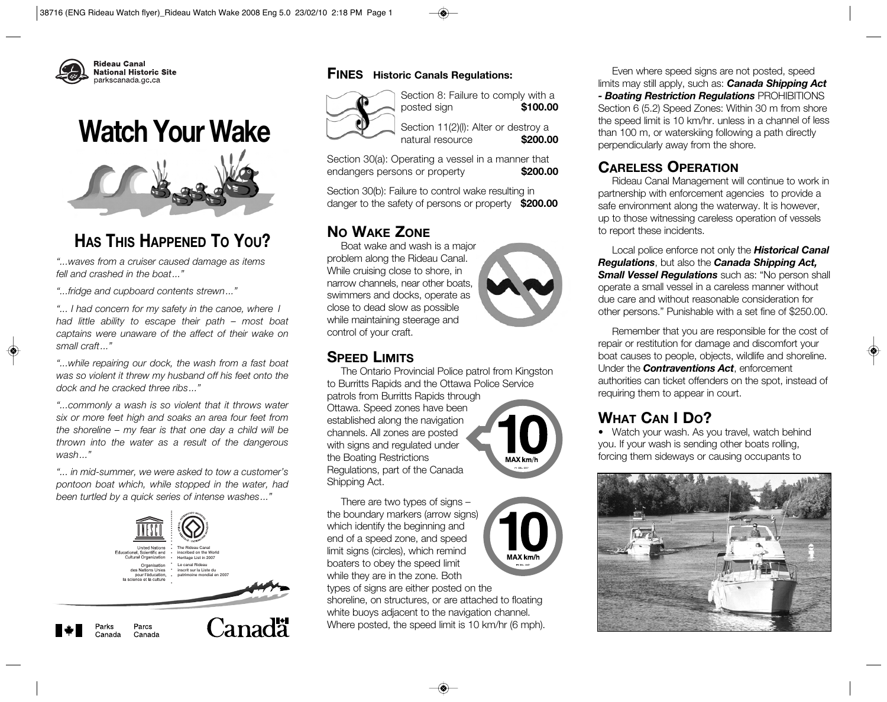

# **Watch Your Wake**



# **HAS THIS HAPPENED TO YOU?**

*"...waves from a cruiser caused damage as items fell and crashed in the boat..."*

*"...fridge and cupboard contents strewn..."*

*"... I had concern for my safety in the canoe, where I had little ability to escape their path – most boat captains were unaware of the affect of their wake on small craft..."* 

*"...while repairing our dock, the wash from a fast boat was so violent it threw my husband off his feet onto the dock and he cracked three ribs..."*

*"...commonly a wash is so violent that it throws water six or more feet high and soaks an area four feet from the shoreline – my fear is that one day a child will be thrown into the water as a result of the dangerous wash..."* 

*"... in mid-summer, we were asked to tow a customer's pontoon boat which, while stopped in the water, had been turtled by a quick series of intense washes..."*



#### **FINES Historic Canals Regulations:**



Section 8: Failure to comply with a posted sign **\$100.00**

Section 11(2)(I): Alter or destroy a natural resource **\$200.00**

Section 30(a): Operating a vessel in a manner that endangers persons or property **\$200.00**

Section 30(b): Failure to control wake resulting in danger to the safety of persons or property **\$200.00**

### **NO WAKE ZONE**

Boat wake and wash is a major problem along the Rideau Canal. While cruising close to shore, in narrow channels, near other boats, swimmers and docks, operate as close to dead slow as possible while maintaining steerage and control of your craft.

### **SPEED LIMITS**

The Ontario Provincial Police patrol from Kingston to Burritts Rapids and the Ottawa Police Service

patrols from Burritts Rapids through Ottawa. Speed zones have been established along the navigation channels. All zones are posted with signs and regulated under the Boating Restrictions Regulations, part of the Canada Shipping Act.

There are two types of signs – the boundary markers (arrow signs) which identify the beginning and end of a speed zone, and speed limit signs (circles), which remind boaters to obey the speed limit while they are in the zone. Both

types of signs are either posted on the shoreline, on structures, or are attached to floating white buoys adjacent to the navigation channel. Where posted, the speed limit is 10 km/hr (6 mph).

Even where speed signs are not posted, speed limits may still apply, such as: *Canada Shipping Act*

*- Boating Restriction Regulations* PROHIBITIONS Section 6 (5.2) Speed Zones: Within 30 m from shore the speed limit is 10 km/hr. unless in a channel of less than 100 m, or waterskiing following a path directly perpendicularly away from the shore.

### **CARELESS OPERATION**

Rideau Canal Management will continue to work in partnership with enforcement agencies to provide a safe environment along the waterway. It is however, up to those witnessing careless operation of vessels to report these incidents.

Local police enforce not only the *Historical Canal Regulations*, but also the *Canada Shipping Act, Small Vessel Regulations* such as: "No person shall operate a small vessel in a careless manner without due care and without reasonable consideration for other persons." Punishable with a set fine of \$250.00.

Remember that you are responsible for the cost of repair or restitution for damage and discomfort your boat causes to people, objects, wildlife and shoreline. Under the *Contraventions Act*, enforcement authorities can ticket offenders on the spot, instead of requiring them to appear in court.

## **WHAT CAN I DO?**

• Watch your wash. As you travel, watch behind you. If your wash is sending other boats rolling, forcing them sideways or causing occupants to





MAX km/h

MAX km/h